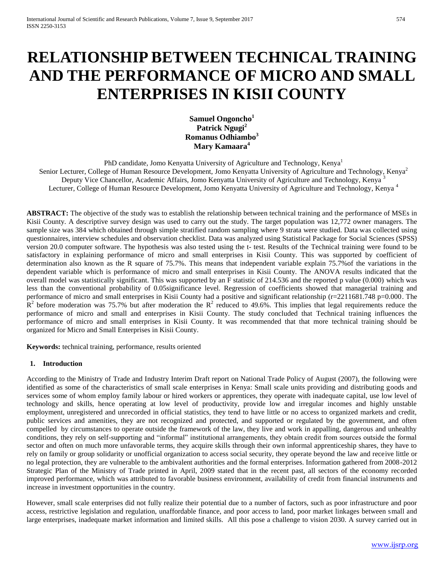# **RELATIONSHIP BETWEEN TECHNICAL TRAINING AND THE PERFORMANCE OF MICRO AND SMALL ENTERPRISES IN KISII COUNTY**

**Samuel Ongoncho<sup>1</sup> Patrick Ngugi<sup>2</sup> Romanus Odhiambo<sup>3</sup> Mary Kamaara<sup>4</sup>**

PhD candidate, Jomo Kenyatta University of Agriculture and Technology, Kenya<sup>1</sup> Senior Lecturer, College of Human Resource Development, Jomo Kenyatta University of Agriculture and Technology, Kenya<sup>2</sup> Deputy Vice Chancellor, Academic Affairs, Jomo Kenyatta University of Agriculture and Technology, Kenya<sup>3</sup> Lecturer, College of Human Resource Development, Jomo Kenyatta University of Agriculture and Technology, Kenya<sup>4</sup>

**ABSTRACT:** The objective of the study was to establish the relationship between technical training and the performance of MSEs in Kisii County. A descriptive survey design was used to carry out the study. The target population was 12,772 owner managers. The sample size was 384 which obtained through simple stratified random sampling where 9 strata were studied. Data was collected using questionnaires, interview schedules and observation checklist. Data was analyzed using Statistical Package for Social Sciences (SPSS) version 20.0 computer software. The hypothesis was also tested using the t- test. Results of the Technical training were found to be satisfactory in explaining performance of micro and small enterprises in Kisii County. This was supported by coefficient of determination also known as the R square of 75.7%. This means that independent variable explain 75.7%of the variations in the dependent variable which is performance of micro and small enterprises in Kisii County. The ANOVA results indicated that the overall model was statistically significant. This was supported by an F statistic of 214.536 and the reported p value (0.000) which was less than the conventional probability of 0.05significance level. Regression of coefficients showed that managerial training and performance of micro and small enterprises in Kisii County had a positive and significant relationship  $(r=2211681.748 \text{ p}=0.000$ . The  $R^2$  before moderation was 75.7% but after moderation the  $R^2$  reduced to 49.6%. This implies that legal requirements reduce the performance of micro and small and enterprises in Kisii County. The study concluded that Technical training influences the performance of micro and small enterprises in Kisii County. It was recommended that that more technical training should be organized for Micro and Small Enterprises in Kisii County.

**Keywords:** technical training, performance, results oriented

#### **1. Introduction**

According to the Ministry of Trade and Industry Interim Draft report on National Trade Policy of August (2007), the following were identified as some of the characteristics of small scale enterprises in Kenya: Small scale units providing and distributing goods and services some of whom employ family labour or hired workers or apprentices, they operate with inadequate capital, use low level of technology and skills, hence operating at low level of productivity, provide low and irregular incomes and highly unstable employment, unregistered and unrecorded in official statistics, they tend to have little or no access to organized markets and credit, public services and amenities, they are not recognized and protected, and supported or regulated by the government, and often compelled by circumstances to operate outside the framework of the law, they live and work in appalling, dangerous and unhealthy conditions, they rely on self-supporting and "informal" institutional arrangements, they obtain credit from sources outside the formal sector and often on much more unfavorable terms, they acquire skills through their own informal apprenticeship shares, they have to rely on family or group solidarity or unofficial organization to access social security, they operate beyond the law and receive little or no legal protection, they are vulnerable to the ambivalent authorities and the formal enterprises. Information gathered from 2008-2012 Strategic Plan of the Ministry of Trade printed in April, 2009 stated that in the recent past, all sectors of the economy recorded improved performance, which was attributed to favorable business environment, availability of credit from financial instruments and increase in investment opportunities in the country.

However, small scale enterprises did not fully realize their potential due to a number of factors, such as poor infrastructure and poor access, restrictive legislation and regulation, unaffordable finance, and poor access to land, poor market linkages between small and large enterprises, inadequate market information and limited skills. All this pose a challenge to vision 2030. A survey carried out in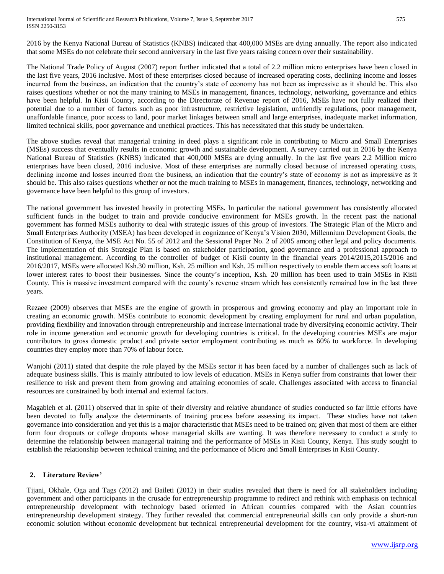International Journal of Scientific and Research Publications, Volume 7, Issue 9, September 2017 575 ISSN 2250-3153

2016 by the Kenya National Bureau of Statistics (KNBS) indicated that 400,000 MSEs are dying annually. The report also indicated that some MSEs do not celebrate their second anniversary in the last five years raising concern over their sustainability.

The National Trade Policy of August (2007) report further indicated that a total of 2.2 million micro enterprises have been closed in the last five years, 2016 inclusive. Most of these enterprises closed because of increased operating costs, declining income and losses incurred from the business, an indication that the country's state of economy has not been as impressive as it should be. This also raises questions whether or not the many training to MSEs in management, finances, technology, networking, governance and ethics have been helpful. In Kisii County, according to the Directorate of Revenue report of 2016, MSEs have not fully realized their potential due to a number of factors such as poor infrastructure, restrictive legislation, unfriendly regulations, poor management, unaffordable finance, poor access to land, poor market linkages between small and large enterprises, inadequate market information, limited technical skills, poor governance and unethical practices. This has necessitated that this study be undertaken.

The above studies reveal that managerial training in deed plays a significant role in contributing to Micro and Small Enterprises (MSEs) success that eventually results in economic growth and sustainable development. A survey carried out in 2016 by the Kenya National Bureau of Statistics (KNBS) indicated that 400,000 MSEs are dying annually. In the last five years 2.2 Million micro enterprises have been closed, 2016 inclusive. Most of these enterprises are normally closed because of increased operating costs, declining income and losses incurred from the business, an indication that the country's state of economy is not as impressive as it should be. This also raises questions whether or not the much training to MSEs in management, finances, technology, networking and governance have been helpful to this group of investors.

The national government has invested heavily in protecting MSEs. In particular the national government has consistently allocated sufficient funds in the budget to train and provide conducive environment for MSEs growth. In the recent past the national government has formed MSEs authority to deal with strategic issues of this group of investors. The Strategic Plan of the Micro and Small Enterprises Authority (MSEA) has been developed in cognizance of Kenya's Vision 2030, Millennium Development Goals, the Constitution of Kenya, the MSE Act No. 55 of 2012 and the Sessional Paper No. 2 of 2005 among other legal and policy documents. The implementation of this Strategic Plan is based on stakeholder participation, good governance and a professional approach to institutional management. According to the controller of budget of Kisii county in the financial years 2014/2015,2015/2016 and 2016/2017, MSEs were allocated Ksh.30 million, Ksh. 25 million and Ksh. 25 million respectively to enable them access soft loans at lower interest rates to boost their businesses. Since the county's inception, Ksh. 20 million has been used to train MSEs in Kisii County. This is massive investment compared with the county's revenue stream which has consistently remained low in the last three years.

Rezaee (2009) observes that MSEs are the engine of growth in prosperous and growing economy and play an important role in creating an economic growth. MSEs contribute to economic development by creating employment for rural and urban population, providing flexibility and innovation through entrepreneurship and increase international trade by diversifying economic activity. Their role in income generation and economic growth for developing countries is critical. In the developing countries MSEs are major contributors to gross domestic product and private sector employment contributing as much as 60% to workforce. In developing countries they employ more than 70% of labour force.

Wanjohi (2011) stated that despite the role played by the MSEs sector it has been faced by a number of challenges such as lack of adequate business skills. This is mainly attributed to low levels of education. MSEs in Kenya suffer from constraints that lower their resilience to risk and prevent them from growing and attaining economies of scale. Challenges associated with access to financial resources are constrained by both internal and external factors.

Magableh et al. (2011) observed that in spite of their diversity and relative abundance of studies conducted so far little efforts have been devoted to fully analyze the determinants of training process before assessing its impact. These studies have not taken governance into consideration and yet this is a major characteristic that MSEs need to be trained on; given that most of them are either form four dropouts or college dropouts whose managerial skills are wanting. It was therefore necessary to conduct a study to determine the relationship between managerial training and the performance of MSEs in Kisii County, Kenya. This study sought to establish the relationship between technical training and the performance of Micro and Small Enterprises in Kisii County.

# **2. Literature Review'**

Tijani, Okhale, Oga and Tags (2012) and Baileti (2012) in their studies revealed that there is need for all stakeholders including government and other participants in the crusade for entrepreneurship programme to redirect and rethink with emphasis on technical entrepreneurship development with technology based oriented in African countries compared with the Asian countries entrepreneurship development strategy. They further revealed that commercial entrepreneurial skills can only provide a short-run economic solution without economic development but technical entrepreneurial development for the country, visa-vi attainment of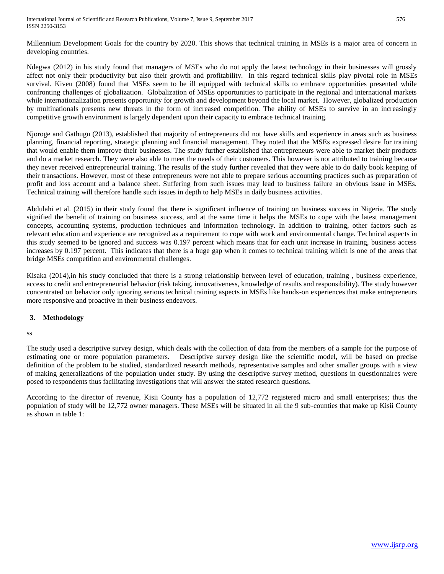Millennium Development Goals for the country by 2020. This shows that technical training in MSEs is a major area of concern in developing countries.

Ndegwa (2012) in his study found that managers of MSEs who do not apply the latest technology in their businesses will grossly affect not only their productivity but also their growth and profitability. In this regard technical skills play pivotal role in MSEs survival. Kiveu (2008) found that MSEs seem to be ill equipped with technical skills to embrace opportunities presented while confronting challenges of globalization. Globalization of MSEs opportunities to participate in the regional and international markets while internationalization presents opportunity for growth and development beyond the local market. However, globalized production by multinationals presents new threats in the form of increased competition. The ability of MSEs to survive in an increasingly competitive growth environment is largely dependent upon their capacity to embrace technical training.

Njoroge and Gathugu (2013), established that majority of entrepreneurs did not have skills and experience in areas such as business planning, financial reporting, strategic planning and financial management. They noted that the MSEs expressed desire for training that would enable them improve their businesses. The study further established that entrepreneurs were able to market their products and do a market research. They were also able to meet the needs of their customers. This however is not attributed to training because they never received entrepreneurial training. The results of the study further revealed that they were able to do daily book keeping of their transactions. However, most of these entrepreneurs were not able to prepare serious accounting practices such as preparation of profit and loss account and a balance sheet. Suffering from such issues may lead to business failure an obvious issue in MSEs. Technical training will therefore handle such issues in depth to help MSEs in daily business activities.

Abdulahi et al. (2015) in their study found that there is significant influence of training on business success in Nigeria. The study signified the benefit of training on business success, and at the same time it helps the MSEs to cope with the latest management concepts, accounting systems, production techniques and information technology. In addition to training, other factors such as relevant education and experience are recognized as a requirement to cope with work and environmental change. Technical aspects in this study seemed to be ignored and success was 0.197 percent which means that for each unit increase in training, business access increases by 0.197 percent. This indicates that there is a huge gap when it comes to technical training which is one of the areas that bridge MSEs competition and environmental challenges.

Kisaka (2014),in his study concluded that there is a strong relationship between level of education, training , business experience, access to credit and entrepreneurial behavior (risk taking, innovativeness, knowledge of results and responsibility). The study however concentrated on behavior only ignoring serious technical training aspects in MSEs like hands-on experiences that make entrepreneurs more responsive and proactive in their business endeavors.

# **3. Methodology**

ss

The study used a descriptive survey design, which deals with the collection of data from the members of a sample for the purpose of estimating one or more population parameters. Descriptive survey design like the scientific model, will be based on precise definition of the problem to be studied, standardized research methods, representative samples and other smaller groups with a view of making generalizations of the population under study. By using the descriptive survey method, questions in questionnaires were posed to respondents thus facilitating investigations that will answer the stated research questions.

According to the director of revenue, Kisii County has a population of 12,772 registered micro and small enterprises; thus the population of study will be 12,772 owner managers. These MSEs will be situated in all the 9 sub-counties that make up Kisii County as shown in table 1: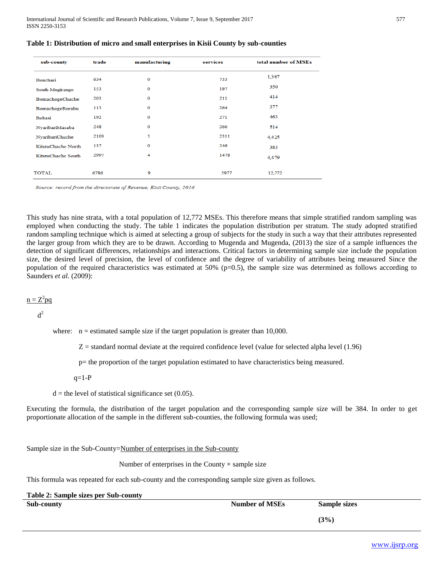| sub-county         | trade | manufacturing | services | total number of MSEs |
|--------------------|-------|---------------|----------|----------------------|
| Bonchari           | 634   | $\mathbf 0$   | 733      | 1.367                |
| South Mugirango    | 153   | $\mathbf 0$   | 197      | 350                  |
| BomachogeChache    | 203   | $\Omega$      | 211      | 414                  |
| BomachogeBorabu    | 113   | $\mathbf{O}$  | 264      | 377                  |
| <b>Bobasi</b>      | 192   | $\mathbf{O}$  | 271      | 463                  |
| NyaribariMasaba    | 248   | $\mathbf 0$   | 266      | 514                  |
| NyaribariChache    | 2109  | 5             | 2311     | 4,425                |
| KitutuChache North | 137   | $\mathbf 0$   | 246      | 383                  |
| KitutuChache South | 2997  | 4             | 1478     | 4,479                |
|                    |       |               |          |                      |
| <b>TOTAL</b>       | 6786  | 9             | 5977     | 12,772               |

#### **Table 1: Distribution of micro and small enterprises in Kisii County by sub-counties**

Source: record from the directorate of Revenue, Kisii County, 2016

This study has nine strata, with a total population of 12,772 MSEs. This therefore means that simple stratified random sampling was employed when conducting the study. The table 1 indicates the population distribution per stratum. The study adopted stratified random sampling technique which is aimed at selecting a group of subjects for the study in such a way that their attributes represented the larger group from which they are to be drawn. According to Mugenda and Mugenda, (2013) the size of a sample influences the detection of significant differences, relationships and interactions. Critical factors in determining sample size include the population size, the desired level of precision, the level of confidence and the degree of variability of attributes being measured Since the population of the required characteristics was estimated at  $50\%$  (p=0.5), the sample size was determined as follows according to Saunders *et al.* (2009):

# $n = Z^2 pq$

 $d^2$ 

where:  $n =$  estimated sample size if the target population is greater than 10,000.

 $Z =$  standard normal deviate at the required confidence level (value for selected alpha level  $(1.96)$ )

p= the proportion of the target population estimated to have characteristics being measured.

 $q=1-P$ 

 $d =$  the level of statistical significance set (0.05).

Executing the formula, the distribution of the target population and the corresponding sample size will be 384. In order to get proportionate allocation of the sample in the different sub-counties, the following formula was used;

Sample size in the Sub-County=Number of enterprises in the Sub-county

Number of enterprises in the County  $\times$  sample size

This formula was repeated for each sub-county and the corresponding sample size given as follows.

| <b>Table 2: Sample sizes per Sub-county</b> |                       |                     |  |  |  |  |
|---------------------------------------------|-----------------------|---------------------|--|--|--|--|
| Sub-county                                  | <b>Number of MSEs</b> | <b>Sample sizes</b> |  |  |  |  |
|                                             |                       | (3%)                |  |  |  |  |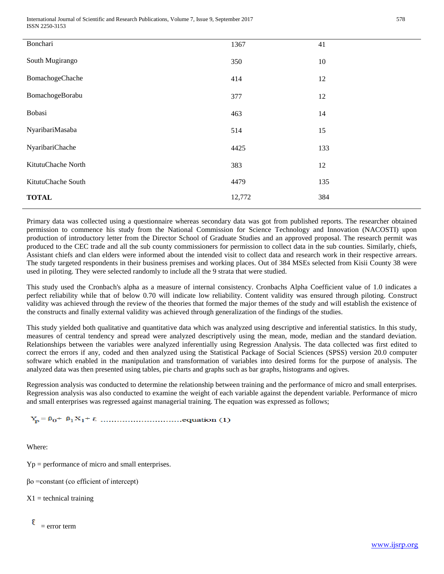International Journal of Scientific and Research Publications, Volume 7, Issue 9, September 2017 578 ISSN 2250-3153

| Bonchari           | 1367   | 41  |
|--------------------|--------|-----|
| South Mugirango    | 350    | 10  |
| BomachogeChache    | 414    | 12  |
| BomachogeBorabu    | 377    | 12  |
| Bobasi             | 463    | 14  |
| NyaribariMasaba    | 514    | 15  |
| NyaribariChache    | 4425   | 133 |
| KitutuChache North | 383    | 12  |
| KitutuChache South | 4479   | 135 |
| <b>TOTAL</b>       | 12,772 | 384 |

Primary data was collected using a questionnaire whereas secondary data was got from published reports. The researcher obtained permission to commence his study from the National Commission for Science Technology and Innovation (NACOSTI) upon production of introductory letter from the Director School of Graduate Studies and an approved proposal. The research permit was produced to the CEC trade and all the sub county commissioners for permission to collect data in the sub counties. Similarly, chiefs, Assistant chiefs and clan elders were informed about the intended visit to collect data and research work in their respective arrears. The study targeted respondents in their business premises and working places. Out of 384 MSEs selected from Kisii County 38 were used in piloting. They were selected randomly to include all the 9 strata that were studied.

This study used the Cronbach's alpha as a measure of internal consistency. Cronbachs Alpha Coefficient value of 1.0 indicates a perfect reliability while that of below 0.70 will indicate low reliability. Content validity was ensured through piloting. Construct validity was achieved through the review of the theories that formed the major themes of the study and will establish the existence of the constructs and finally external validity was achieved through generalization of the findings of the studies.

This study yielded both qualitative and quantitative data which was analyzed using descriptive and inferential statistics. In this study, measures of central tendency and spread were analyzed descriptively using the mean, mode, median and the standard deviation. Relationships between the variables were analyzed inferentially using Regression Analysis. The data collected was first edited to correct the errors if any, coded and then analyzed using the Statistical Package of Social Sciences (SPSS) version 20.0 computer software which enabled in the manipulation and transformation of variables into desired forms for the purpose of analysis. The analyzed data was then presented using tables, pie charts and graphs such as bar graphs, histograms and ogives.

Regression analysis was conducted to determine the relationship between training and the performance of micro and small enterprises. Regression analysis was also conducted to examine the weight of each variable against the dependent variable. Performance of micro and small enterprises was regressed against managerial training. The equation was expressed as follows;

Where:

Yp = performance of micro and small enterprises.

βo =constant (co efficient of intercept)

 $X1 =$  technical training

ε  $=$  error term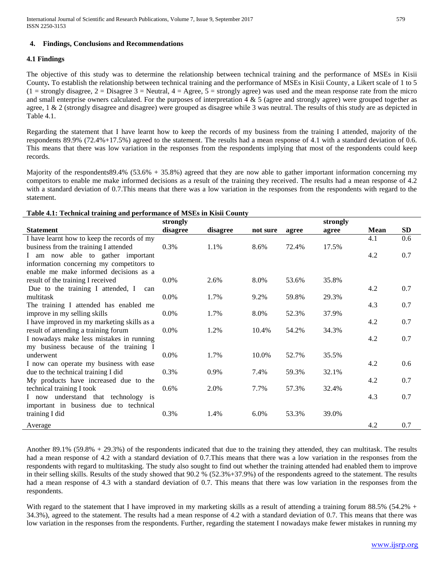# **4. Findings, Conclusions and Recommendations**

#### **4.1 Findings**

The objective of this study was to determine the relationship between technical training and the performance of MSEs in Kisii County*.* To establish the relationship between technical training and the performance of MSEs in Kisii County, a Likert scale of 1 to 5  $(1 =$  strongly disagree,  $2 =$  Disagree  $3 =$  Neutral,  $4 =$  Agree,  $5 =$  strongly agree) was used and the mean response rate from the micro and small enterprise owners calculated. For the purposes of interpretation  $4 \& 5$  (agree and strongly agree) were grouped together as agree, 1 & 2 (strongly disagree and disagree) were grouped as disagree while 3 was neutral. The results of this study are as depicted in Table 4.1.

Regarding the statement that I have learnt how to keep the records of my business from the training I attended, majority of the respondents 89.9% (72.4%+17.5%) agreed to the statement. The results had a mean response of 4.1 with a standard deviation of 0.6. This means that there was low variation in the responses from the respondents implying that most of the respondents could keep records.

Majority of the respondents89.4% (53.6% + 35.8%) agreed that they are now able to gather important information concerning my competitors to enable me make informed decisions as a result of the training they received. The results had a mean response of 4.2 with a standard deviation of 0.7.This means that there was a low variation in the responses from the respondents with regard to the statement.

### **Table 4.1: Technical training and performance of MSEs in Kisii County**

| Table 4.1. Technical training and performance of moles in Ixish County |          |          |          |       |          |      |           |  |
|------------------------------------------------------------------------|----------|----------|----------|-------|----------|------|-----------|--|
|                                                                        | strongly |          |          |       | strongly |      |           |  |
| <b>Statement</b>                                                       | disagree | disagree | not sure | agree | agree    | Mean | <b>SD</b> |  |
| I have learnt how to keep the records of my                            |          |          |          |       |          | 4.1  | 0.6       |  |
| business from the training I attended                                  | 0.3%     | 1.1%     | 8.6%     | 72.4% | 17.5%    |      |           |  |
| I am now able to gather important                                      |          |          |          |       |          | 4.2  | 0.7       |  |
| information concerning my competitors to                               |          |          |          |       |          |      |           |  |
| enable me make informed decisions as a                                 |          |          |          |       |          |      |           |  |
| result of the training I received                                      | $0.0\%$  | 2.6%     | 8.0%     | 53.6% | 35.8%    |      |           |  |
| Due to the training I attended, I<br>can                               |          |          |          |       |          | 4.2  | 0.7       |  |
| multitask                                                              | $0.0\%$  | 1.7%     | 9.2%     | 59.8% | 29.3%    |      |           |  |
| The training I attended has enabled me                                 |          |          |          |       |          | 4.3  | 0.7       |  |
| improve in my selling skills                                           | $0.0\%$  | 1.7%     | 8.0%     | 52.3% | 37.9%    |      |           |  |
| I have improved in my marketing skills as a                            |          |          |          |       |          | 4.2  | 0.7       |  |
| result of attending a training forum                                   | $0.0\%$  | 1.2%     | 10.4%    | 54.2% | 34.3%    |      |           |  |
| I nowadays make less mistakes in running                               |          |          |          |       |          | 4.2  | 0.7       |  |
| my business because of the training I                                  |          |          |          |       |          |      |           |  |
| underwent                                                              | $0.0\%$  | 1.7%     | 10.0%    | 52.7% | 35.5%    |      |           |  |
| I now can operate my business with ease                                |          |          |          |       |          | 4.2  | 0.6       |  |
| due to the technical training I did                                    | 0.3%     | 0.9%     | 7.4%     | 59.3% | 32.1%    |      |           |  |
| My products have increased due to the                                  |          |          |          |       |          | 4.2  | 0.7       |  |
| technical training I took                                              | $0.6\%$  | 2.0%     | 7.7%     | 57.3% | 32.4%    |      |           |  |
| I now understand that technology is                                    |          |          |          |       |          | 4.3  | 0.7       |  |
| important in business due to technical                                 |          |          |          |       |          |      |           |  |
| training I did                                                         | 0.3%     | 1.4%     | 6.0%     | 53.3% | 39.0%    |      |           |  |
| Average                                                                |          |          |          |       |          | 4.2  | 0.7       |  |

Another 89.1% (59.8% + 29.3%) of the respondents indicated that due to the training they attended, they can multitask. The results had a mean response of 4.2 with a standard deviation of 0.7.This means that there was a low variation in the responses from the respondents with regard to multitasking. The study also sought to find out whether the training attended had enabled them to improve in their selling skills. Results of the study showed that 90.2 % (52.3%+37.9%) of the respondents agreed to the statement. The results had a mean response of 4.3 with a standard deviation of 0.7. This means that there was low variation in the responses from the respondents.

With regard to the statement that I have improved in my marketing skills as a result of attending a training forum 88.5% (54.2% + 34.3%), agreed to the statement. The results had a mean response of 4.2 with a standard deviation of 0.7. This means that there was low variation in the responses from the respondents. Further, regarding the statement I nowadays make fewer mistakes in running my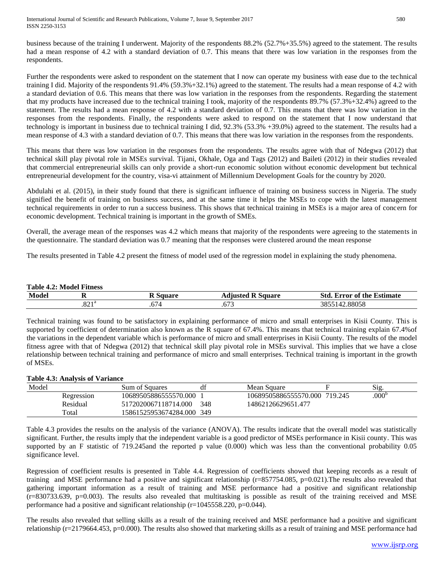business because of the training I underwent. Majority of the respondents 88.2% (52.7%+35.5%) agreed to the statement. The results had a mean response of 4.2 with a standard deviation of 0.7. This means that there was low variation in the responses from the respondents.

Further the respondents were asked to respondent on the statement that I now can operate my business with ease due to the technical training I did. Majority of the respondents 91.4% (59.3%+32.1%) agreed to the statement. The results had a mean response of 4.2 with a standard deviation of 0.6. This means that there was low variation in the responses from the respondents. Regarding the statement that my products have increased due to the technical training I took, majority of the respondents 89.7% (57.3%+32.4%) agreed to the statement. The results had a mean response of 4.2 with a standard deviation of 0.7. This means that there was low variation in the responses from the respondents. Finally, the respondents were asked to respond on the statement that I now understand that technology is important in business due to technical training I did, 92.3% (53.3% +39.0%) agreed to the statement. The results had a mean response of 4.3 with a standard deviation of 0.7. This means that there was low variation in the responses from the respondents.

This means that there was low variation in the responses from the respondents. The results agree with that of Ndegwa (2012) that technical skill play pivotal role in MSEs survival. Tijani, Okhale, Oga and Tags (2012) and Baileti (2012) in their studies revealed that commercial entrepreneurial skills can only provide a short-run economic solution without economic development but technical entrepreneurial development for the country, visa-vi attainment of Millennium Development Goals for the country by 2020.

Abdulahi et al. (2015), in their study found that there is significant influence of training on business success in Nigeria. The study signified the benefit of training on business success, and at the same time it helps the MSEs to cope with the latest management technical requirements in order to run a success business. This shows that technical training in MSEs is a major area of concern for economic development. Technical training is important in the growth of SMEs.

Overall, the average mean of the responses was 4.2 which means that majority of the respondents were agreeing to the statements in the questionnaire. The standard deviation was 0.7 meaning that the responses were clustered around the mean response

The results presented in Table 4.2 present the fitness of model used of the regression model in explaining the study phenomena.

| <b>Table 4.2: Model Fitness</b> |               |        |                          |                                   |  |  |
|---------------------------------|---------------|--------|--------------------------|-----------------------------------|--|--|
| Model                           |               | Square | <b>Adjusted R Square</b> | <b>Std. Error of the Estimate</b> |  |  |
|                                 | on 18<br>0∠ء. | .014   | .673                     | 3855142.88058                     |  |  |

Technical training was found to be satisfactory in explaining performance of micro and small enterprises in Kisii County. This is supported by coefficient of determination also known as the R square of 67.4%. This means that technical training explain 67.4%of the variations in the dependent variable which is performance of micro and small enterprises in Kisii County. The results of the model fitness agree with that of Ndegwa (2012) that technical skill play pivotal role in MSEs survival. This implies that we have a close relationship between technical training and performance of micro and small enterprises. Technical training is important in the growth of MSEs.

# **Table 4.3: Analysis of Variance**

| Model |            | Sum of Squares            | df  | Mean Square                   | S1g.              |
|-------|------------|---------------------------|-----|-------------------------------|-------------------|
|       | Regression | 10689505886555570.000     |     | 10689505886555570.000 719.245 | .000 <sup>b</sup> |
|       | Residual   | 5172020067118714.000      | 348 | 14862126629651.477            |                   |
|       | Total      | 15861525953674284.000 349 |     |                               |                   |

Table 4.3 provides the results on the analysis of the variance (ANOVA). The results indicate that the overall model was statistically significant. Further, the results imply that the independent variable is a good predictor of MSEs performance in Kisii county. This was supported by an F statistic of 719.245and the reported p value (0.000) which was less than the conventional probability 0.05 significance level.

Regression of coefficient results is presented in Table 4.4. Regression of coefficients showed that keeping records as a result of training and MSE performance had a positive and significant relationship  $(r=857754.085, p=0.021)$ . The results also revealed that gathering important information as a result of training and MSE performance had a positive and significant relationship  $(r=830733.639, p=0.003)$ . The results also revealed that multitasking is possible as result of the training received and MSE performance had a positive and significant relationship  $(r=1045558.220, p=0.044)$ .

The results also revealed that selling skills as a result of the training received and MSE performance had a positive and significant relationship  $(r=2179664.453, p=0.000)$ . The results also showed that marketing skills as a result of training and MSE performance had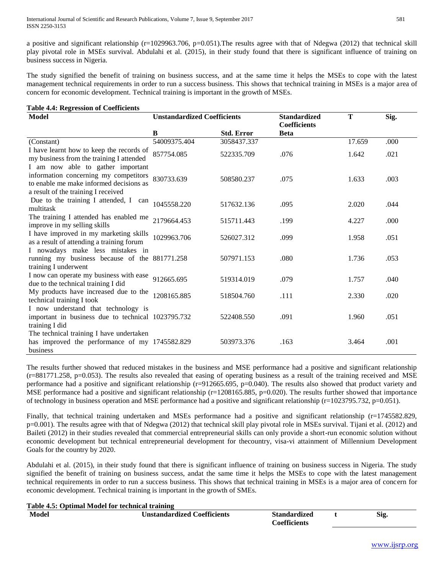a positive and significant relationship (r=1029963.706, p=0.051). The results agree with that of Ndegwa (2012) that technical skill play pivotal role in MSEs survival. Abdulahi et al. (2015), in their study found that there is significant influence of training on business success in Nigeria.

The study signified the benefit of training on business success, and at the same time it helps the MSEs to cope with the latest management technical requirements in order to run a success business. This shows that technical training in MSEs is a major area of concern for economic development. Technical training is important in the growth of MSEs.

| <b>Table 4.4: Regression of Coefficients</b>                                                                                                                 |                                    |                   |                                            |        |      |  |  |  |
|--------------------------------------------------------------------------------------------------------------------------------------------------------------|------------------------------------|-------------------|--------------------------------------------|--------|------|--|--|--|
| Model                                                                                                                                                        | <b>Unstandardized Coefficients</b> |                   | <b>Standardized</b><br><b>Coefficients</b> | T      | Sig. |  |  |  |
|                                                                                                                                                              | B                                  | <b>Std. Error</b> | <b>Beta</b>                                |        |      |  |  |  |
| (Constant)                                                                                                                                                   | 54009375.404                       | 3058437.337       |                                            | 17.659 | .000 |  |  |  |
| I have learnt how to keep the records of<br>my business from the training I attended                                                                         | 857754.085                         | 522335.709        | .076                                       | 1.642  | .021 |  |  |  |
| I am now able to gather important<br>information concerning my competitors<br>to enable me make informed decisions as<br>a result of the training I received | 830733.639                         | 508580.237        | .075                                       | 1.633  | .003 |  |  |  |
| Due to the training I attended, I can<br>multitask                                                                                                           | 1045558.220                        | 517632.136        | .095                                       | 2.020  | .044 |  |  |  |
| The training I attended has enabled me<br>improve in my selling skills                                                                                       | 2179664.453                        | 515711.443        | .199                                       | 4.227  | .000 |  |  |  |
| I have improved in my marketing skills<br>as a result of attending a training forum                                                                          | 1029963.706                        | 526027.312        | .099                                       | 1.958  | .051 |  |  |  |
| I nowadays make less mistakes in<br>running my business because of the 881771.258<br>training I underwent                                                    |                                    | 507971.153        | .080                                       | 1.736  | .053 |  |  |  |
| I now can operate my business with ease<br>due to the technical training I did                                                                               | 912665.695                         | 519314.019        | .079                                       | 1.757  | .040 |  |  |  |
| My products have increased due to the<br>technical training I took                                                                                           | 1208165.885                        | 518504.760        | .111                                       | 2.330  | .020 |  |  |  |
| I now understand that technology is<br>important in business due to technical 1023795.732<br>training I did                                                  |                                    | 522408.550        | .091                                       | 1.960  | .051 |  |  |  |
| The technical training I have undertaken<br>has improved the performance of my 1745582.829<br>business                                                       |                                    | 503973.376        | .163                                       | 3.464  | .001 |  |  |  |

The results further showed that reduced mistakes in the business and MSE performance had a positive and significant relationship  $(r=881771.258, p=0.053)$ . The results also revealed that easing of operating business as a result of the training received and MSE performance had a positive and significant relationship (r=912665.695, p=0.040). The results also showed that product variety and MSE performance had a positive and significant relationship ( $r=1208165.885$ ,  $p=0.020$ ). The results further showed that importance of technology in business operation and MSE performance had a positive and significant relationship ( $r=1023795.732$ ,  $p=0.051$ ).

Finally, that technical training undertaken and MSEs performance had a positive and significant relationship (r=1745582.829, p=0.001). The results agree with that of Ndegwa (2012) that technical skill play pivotal role in MSEs survival. Tijani et al. (2012) and Baileti (2012) in their studies revealed that commercial entrepreneurial skills can only provide a short-run economic solution without economic development but technical entrepreneurial development for thecountry, visa-vi attainment of Millennium Development Goals for the country by 2020.

Abdulahi et al. (2015), in their study found that there is significant influence of training on business success in Nigeria. The study signified the benefit of training on business success, andat the same time it helps the MSEs to cope with the latest management technical requirements in order to run a success business. This shows that technical training in MSEs is a major area of concern for economic development. Technical training is important in the growth of SMEs.

**Table 4.5: Optimal Model for technical training**

| Model | <b>Unstandardized Coefficients</b> | <b>Standardized</b>   | $\sim$<br>Sıg. |
|-------|------------------------------------|-----------------------|----------------|
|       |                                    | <i>c</i> oefficients' |                |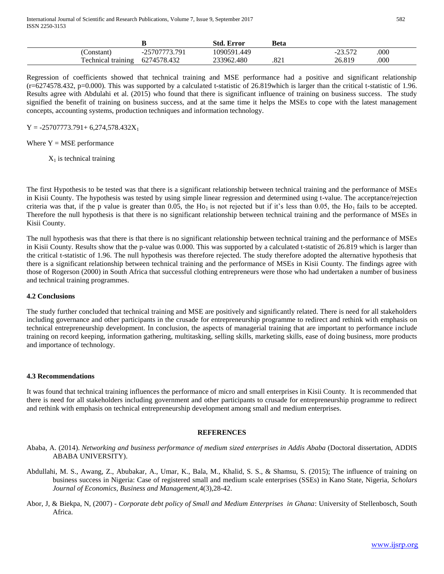|                    |               | <b>Std. Error</b> | Beta |                    |     |
|--------------------|---------------|-------------------|------|--------------------|-----|
| Constant)          | -25707773.791 | 1090591.449       |      | າາ ເກາ<br>⊿ ال د ک | 000 |
| Technical training | 6274578.432   | 233962.480        | .821 | 26.819             | 000 |

Regression of coefficients showed that technical training and MSE performance had a positive and significant relationship  $(r=6274578.432, p=0.000)$ . This was supported by a calculated t-statistic of 26.819 which is larger than the critical t-statistic of 1.96. Results agree with Abdulahi et al. (2015) who found that there is significant influence of training on business success. The study signified the benefit of training on business success, and at the same time it helps the MSEs to cope with the latest management concepts, accounting systems, production techniques and information technology.

# $Y = -25707773.791 + 6,274,578.432X_1$

Where  $Y = MSE$  performance

 $X_1$  is technical training

The first Hypothesis to be tested was that there is a significant relationship between technical training and the performance of MSEs in Kisii County. The hypothesis was tested by using simple linear regression and determined using t-value. The acceptance/rejection criteria was that, if the p value is greater than 0.05, the H<sub>O1</sub> is not rejected but if it's less than 0.05, the H<sub>O1</sub> fails to be accepted. Therefore the null hypothesis is that there is no significant relationship between technical training and the performance of MSEs in Kisii County.

The null hypothesis was that there is that there is no significant relationship between technical training and the performance of MSEs in Kisii County. Results show that the p-value was 0.000. This was supported by a calculated t-statistic of 26.819 which is larger than the critical t-statistic of 1.96. The null hypothesis was therefore rejected. The study therefore adopted the alternative hypothesis that there is a significant relationship between technical training and the performance of MSEs in Kisii County. The findings agree with those of Rogerson (2000) in South Africa that successful clothing entrepreneurs were those who had undertaken a number of business and technical training programmes.

#### **4.2 Conclusions**

The study further concluded that technical training and MSE are positively and significantly related. There is need for all stakeholders including governance and other participants in the crusade for entrepreneurship programme to redirect and rethink with emphasis on technical entrepreneurship development. In conclusion, the aspects of managerial training that are important to performance include training on record keeping, information gathering, multitasking, selling skills, marketing skills, ease of doing business, more products and importance of technology.

#### **4.3 Recommendations**

It was found that technical training influences the performance of micro and small enterprises in Kisii County. It is recommended that there is need for all stakeholders including government and other participants to crusade for entrepreneurship programme to redirect and rethink with emphasis on technical entrepreneurship development among small and medium enterprises.

#### **REFERENCES**

- Ababa, A. (2014). *Networking and business performance of medium sized enterprises in Addis Ababa* (Doctoral dissertation, ADDIS ABABA UNIVERSITY).
- Abdullahi, M. S., Awang, Z., Abubakar, A., Umar, K., Bala, M., Khalid, S. S., & Shamsu, S. (2015); The influence of training on business success in Nigeria: Case of registered small and medium scale enterprises (SSEs) in Kano State, Nigeria, *Scholars Journal of Economics, Business and Management,*4(3),28-42.
- Abor, J, & Biekpa, N, (2007) *Corporate debt policy of Small and Medium Enterprises in Ghana*: University of Stellenbosch, South Africa.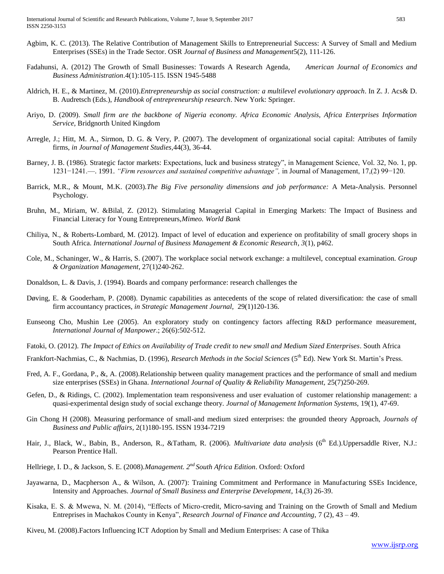- Agbim, K. C. (2013). The Relative Contribution of Management Skills to Entrepreneurial Success: A Survey of Small and Medium Enterprises (SSEs) in the Trade Sector. OSR *Journal of Business and Management*5(2), 111-126.
- Fadahunsi, A. (2012) The Growth of Small Businesses: Towards A Research Agenda, *American Journal of Economics and Business Administration*.4(1):105-115. ISSN 1945-5488
- Aldrich, H. E., & Martinez, M. (2010).*Entrepreneurship as social construction: a multilevel evolutionary approach*. In Z. J. Acs& D. B. Audretsch (Eds.), *Handbook of entrepreneurship research*. New York: Springer.
- Ariyo, D. (2009). *Small firm are the backbone of Nigeria economy. Africa Economic Analysis, Africa Enterprises Information Service,* Bridgnorth United Kingdom
- Arregle, J.; Hitt, M. A., Sirmon, D. G. & Very, P. (2007). The development of organizational social capital: Attributes of family firms, *in Journal of Management Studies,*44(3), 36-44.
- Barney, J. B. (1986). Strategic factor markets: Expectations, luck and business strategy", in Management Science, Vol. 32, No. 1, pp. 1231−1241.—. 1991. *"Firm resources and sustained competitive advantage",* in Journal of Management, 17,(2) 99−120.
- Barrick, M.R., & Mount, M.K. (2003).*The Big Five personality dimensions and job performance:* A Meta-Analysis. Personnel Psychology.
- Bruhn, M., Miriam, W. &Bilal, Z. (2012). Stimulating Managerial Capital in Emerging Markets: The Impact of Business and Financial Literacy for Young Entrepreneurs,*Mimeo. World Bank*
- Chiliya, N., & Roberts-Lombard, M. (2012). Impact of level of education and experience on profitability of small grocery shops in South Africa. *International Journal of Business Management & Economic Research*, *3*(1), p462.
- Cole, M., Schaninger, W., & Harris, S. (2007). The workplace social network exchange: a multilevel, conceptual examination. *Group & Organization Management*, 27(1)240-262.
- Donaldson, L. & Davis, J. (1994). Boards and company performance: research challenges the
- Døving, E. & Gooderham, P. (2008)*.* Dynamic capabilities as antecedents of the scope of related diversification: the case of small firm accountancy practices, *in Strategic Management Journal,* 29(1)120-136.
- Eunseong Cho, Mushin Lee (2005). An exploratory study on contingency factors affecting R&D performance measurement, *International Journal of Manpower*.; 26(6):502-512.
- Fatoki, O. (2012). *The Impact of Ethics on Availability of Trade credit to new small and Medium Sized Enterprises*. South Africa
- Frankfort-Nachmias, C., & Nachmias, D. (1996), *Research Methods in the Social Sciences* (5th Ed). New York St. Martin's Press.
- Fred, A. F., Gordana, P., &, A. (2008).Relationship between quality management practices and the performance of small and medium size enterprises (SSEs) in Ghana. *International Journal of Quality & Reliability Management,* 25(7)250-269.
- Gefen, D., & Ridings, C. (2002). Implementation team responsiveness and user evaluation of customer relationship management: a quasi-experimental design study of social exchange theory*. Journal of Management Information Systems,* 19(1), 47-69.
- Gin Chong H (2008). Measuring performance of small-and medium sized enterprises: the grounded theory Approach, *Journals of Business and Public affairs*, 2(1)180-195. ISSN 1934-7219
- Hair, J., Black, W., Babin, B., Anderson, R., &Tatham, R. (2006). *Multivariate data analysis* (6<sup>th</sup> Ed.). Uppersaddle River, N.J.: Pearson Prentice Hall.
- Hellriege, I. D., & Jackson, S. E. (2008).*Management. 2nd South Africa Edition*. Oxford: Oxford
- Jayawarna, D., Macpherson A., & Wilson, A. (2007): Training Commitment and Performance in Manufacturing SSEs Incidence, Intensity and Approaches. *Journal of Small Business and Enterprise Development*, 14,(3) 26-39.
- Kisaka, E. S. & Mwewa, N. M. (2014), "Effects of Micro-credit, Micro-saving and Training on the Growth of Small and Medium Entreprises in Machakos County in Kenya", *Research Journal of Finance and Accounting,* 7 (2), 43 – 49.
- Kiveu, M. (2008).Factors Influencing ICT Adoption by Small and Medium Enterprises: A case of Thika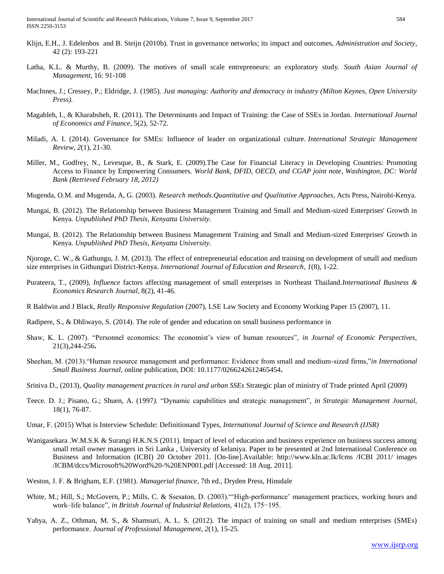International Journal of Scientific and Research Publications, Volume 7, Issue 9, September 2017 584 ISSN 2250-3153

- Klijn, E.H., J. Edelenbos and B. Steijn (2010b). Trust in governance networks; its impact and outcomes, *Administration and Society*, 42 (2): 193-221
- Latha, K.L. & Murthy, B. (2009). The motives of small scale entrepreneurs: an exploratory study. *South Asian Journal of Management*, 16: 91-108
- MacInnes, J.; Cressey, P.; Eldridge, J. (1985). *Just managing: Authority and democracy in industry (Milton Keynes, Open University Press).*
- Magableh, I., & Kharabsheh, R. (2011). The Determinants and Impact of Training: the Case of SSEs in Jordan. *International Journal of Economics and Finance,* 5(2), 52-72.
- Miladi, A. I. (2014). Governance for SMEs: Influence of leader on organizational culture. *International Strategic Management Review*, *2*(1), 21-30.
- Miller, M., Godfrey, N., Levesque, B., & Stark, E. (2009).The Case for Financial Literacy in Developing Countries: Promoting Access to Finance by Empowering Consumers. *World Bank, DFID, OECD, and CGAP joint note, Washington, DC: World Bank (Retrieved February 18, 2012)*
- Mugenda, O.M. and Mugenda, A, G. (2003). *Research methods*.*Quantitative and Qualitative Approaches*, Acts Press, Nairobi-Kenya.
- Mungai, B. (2012). The Relationship between Business Management Training and Small and Medium-sized Enterprises' Growth in Kenya. *Unpublished PhD Thesis, Kenyatta University*.
- Mungai, B. (2012). The Relationship between Business Management Training and Small and Medium-sized Enterprises' Growth in Kenya. *Unpublished PhD Thesis, Kenyatta University*.

Njoroge, C. W., & Gathungu, J. M. (2013). The effect of entrepreneurial education and training on development of small and medium size enterprises in Githunguri District-Kenya. *International Journal of Education and Research*, *1*(8), 1-22.

- Purateera, T., (2009), *Influence* factors affecting management of small enterprises in Northeast Thailand.*International Business & Economics Research Journal*, 8(2), 41-46.
- R Baldwin and J Black, *Really Responsive Regulation* (2007), LSE Law Society and Economy Working Paper 15 (2007), 11.
- Radipere, S., & Dhliwayo, S. (2014). The role of gender and education on small business performance in
- Shaw, K. L. (2007). "Personnel economics: The economist's view of human resources", *in Journal of Economic Perspectives,*  21(3),244-256**.**
- Sheehan, M. (2013)."Human resource management and performance: Evidence from small and medium-sized firms,"*in International Small Business Journal,* online publication, DOI: 10.1177/0266242612465454**.**
- Sriniva D., (2013), *Quality management practices in rural and urban SSEs* Strategic plan of ministry of Trade printed April (2009)
- Teece. D. J.; Pisano, G.; Shuen, A. (1997*).* "Dynamic capabilities and strategic management", *in Strategic Management Journal,*  18(1), 76-87.
- Umar, F. (2015) What is Interview Schedule: Definitionand Types, *International Journal of Science and Research (IJSR)*
- Wanigasekara .W.M.S.K & Surangi H.K.N.S (2011). Impact of level of education and business experience on business success among small retail owner managers in Sri Lanka , University of kelaniya. Paper to be presented at 2nd International Conference on Business and Information (ICBI) 20 October 2011. [On-line].Available: http://www.kln.ac.lk/fcms /ICBI 2011/ images /ICBM/dccs/Microsoft%20Word%20-%20ENP001.pdf [Accessed: 18 Aug. 2011].
- Weston, J. F. & Brigham, E.F. (1981)*. Managerial finance,* 7th ed., Dryden Press, Hinsdale
- White, M.; Hill, S.; McGovern, P.; Mills, C. & Ssesaton, D. (2003). "High-performance' management practices, working hours and work–life balance", *in British Journal of Industrial Relations,* 41(2), 175−195.
- Yahya, A. Z., Othman, M. S., & Shamsuri, A. L. S. (2012). The impact of training on small and medium enterprises (SMEs) performance. *Journal of Professional Management*, *2*(1), 15-25.